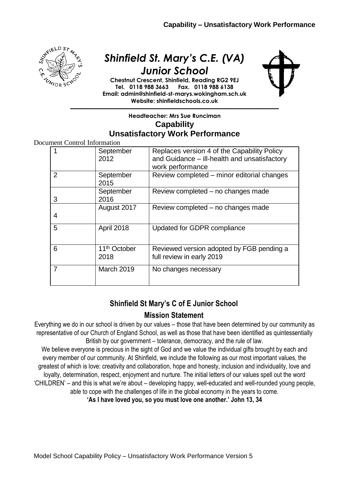

# *Shinfield St. Mary's C.E. (VA) Junior School*

**Chestnut Crescent, Shinfield, Reading RG2 9EJ Tel. 0118 988 3663 Fax. 0118 988 6138 Email: admin@shinfield-st-marys.wokingham.sch.uk Website: shinfieldschools.co.uk**



### **————————————––————————————————— Headteacher: Mrs Sue Runciman Capability Unsatisfactory Work Performance**

Document Control Information

|                | September<br>2012                | Replaces version 4 of the Capability Policy<br>and Guidance – ill-health and unsatisfactory<br>work performance |  |
|----------------|----------------------------------|-----------------------------------------------------------------------------------------------------------------|--|
| $\overline{2}$ | September<br>2015                | Review completed - minor editorial changes                                                                      |  |
| 3              | September<br>2016                | Review completed – no changes made                                                                              |  |
| 4              | August 2017                      | Review completed – no changes made                                                                              |  |
| 5              | April 2018                       | Updated for GDPR compliance                                                                                     |  |
| 6              | 11 <sup>th</sup> October<br>2018 | Reviewed version adopted by FGB pending a<br>full review in early 2019                                          |  |
| 7              | <b>March 2019</b>                | No changes necessary                                                                                            |  |

## **Shinfield St Mary's C of E Junior School**

## **Mission Statement**

Everything we do in our school is driven by our values – those that have been determined by our community as representative of our Church of England School, as well as those that have been identified as quintessentially British by our government – tolerance, democracy, and the rule of law.

We believe everyone is precious in the sight of God and we value the individual gifts brought by each and every member of our community. At Shinfield, we include the following as our most important values, the greatest of which is love: creativity and collaboration, hope and honesty, inclusion and individuality, love and loyalty, determination, respect, enjoyment and nurture. The initial letters of our values spell out the word 'CHILDREN' – and this is what we're about – developing happy, well-educated and well-rounded young people, able to cope with the challenges of life in the global economy in the years to come.

**'As I have loved you, so you must love one another.' John 13, 34**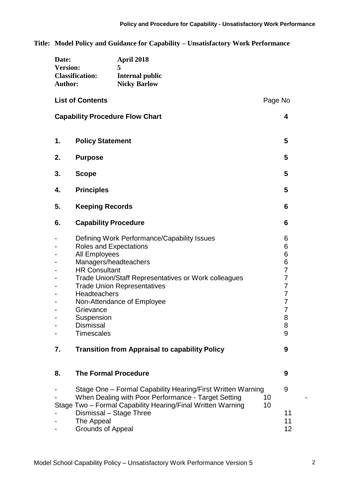## **Title: Model Policy and Guidance for Capability – Unsatisfactory Work Performance**

| Date:<br><b>Version:</b><br><b>Author:</b> | <b>Classification:</b>                                                                                                                                                                     | <b>April 2018</b><br>5<br><b>Internal public</b><br><b>Nicky Barlow</b>                                                                                                                                                                 |                                                                                              |
|--------------------------------------------|--------------------------------------------------------------------------------------------------------------------------------------------------------------------------------------------|-----------------------------------------------------------------------------------------------------------------------------------------------------------------------------------------------------------------------------------------|----------------------------------------------------------------------------------------------|
| <b>List of Contents</b><br>Page No         |                                                                                                                                                                                            |                                                                                                                                                                                                                                         |                                                                                              |
|                                            |                                                                                                                                                                                            | <b>Capability Procedure Flow Chart</b>                                                                                                                                                                                                  | 4                                                                                            |
| 1.                                         | <b>Policy Statement</b>                                                                                                                                                                    |                                                                                                                                                                                                                                         | 5                                                                                            |
| 2.                                         | <b>Purpose</b>                                                                                                                                                                             |                                                                                                                                                                                                                                         | 5                                                                                            |
| 3.                                         | <b>Scope</b>                                                                                                                                                                               |                                                                                                                                                                                                                                         | 5                                                                                            |
| 4.                                         | <b>Principles</b>                                                                                                                                                                          |                                                                                                                                                                                                                                         |                                                                                              |
| 5.                                         | <b>Keeping Records</b>                                                                                                                                                                     |                                                                                                                                                                                                                                         |                                                                                              |
| 6.                                         | <b>Capability Procedure</b>                                                                                                                                                                |                                                                                                                                                                                                                                         |                                                                                              |
| 7.                                         | <b>Roles and Expectations</b><br>All Employees<br>Managers/headteachers<br><b>HR Consultant</b><br><b>Headteachers</b><br>Grievance<br>Suspension<br><b>Dismissal</b><br><b>Timescales</b> | Defining Work Performance/Capability Issues<br><b>Trade Union/Staff Representatives or Work colleagues</b><br><b>Trade Union Representatives</b><br>Non-Attendance of Employee<br><b>Transition from Appraisal to capability Policy</b> | 6<br>6<br>6<br>6<br>7<br>7<br>$\overline{7}$<br>7<br>7<br>$\overline{7}$<br>8<br>8<br>9<br>9 |
| 8.                                         | <b>The Formal Procedure</b>                                                                                                                                                                |                                                                                                                                                                                                                                         | 9                                                                                            |
|                                            |                                                                                                                                                                                            | Stage One – Formal Capability Hearing/First Written Warning<br>When Dealing with Poor Performance - Target Setting<br>Stage Two - Formal Capability Hearing/Final Written Warning                                                       | 9<br>10<br>10<br>11                                                                          |
|                                            | Dismissal - Stage Three<br>The Appeal<br>Grounds of Appeal                                                                                                                                 |                                                                                                                                                                                                                                         |                                                                                              |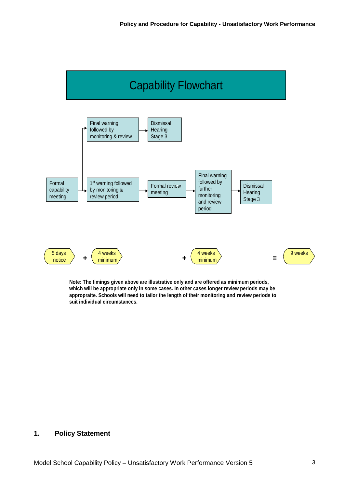



**Note: The timings given above are illustrative only and are offered as minimum periods, which will be appropriate only in some cases. In other cases longer review periods may be appropraite. Schools will need to tailor the length of their monitoring and review periods to suit individual circumstances.**

#### **1. Policy Statement**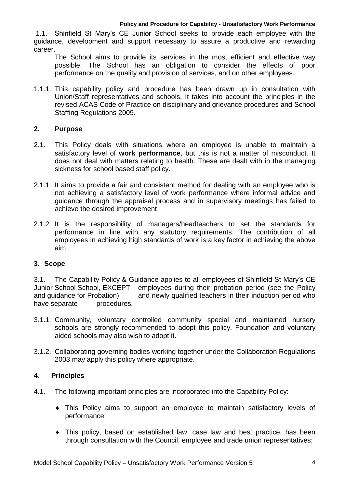1.1. Shinfield St Mary's CE Junior School seeks to provide each employee with the guidance, development and support necessary to assure a productive and rewarding career.

The School aims to provide its services in the most efficient and effective way possible. The School has an obligation to consider the effects of poor performance on the quality and provision of services, and on other employees.

1.1.1. This capability policy and procedure has been drawn up in consultation with Union/Staff representatives and schools. It takes into account the principles in the revised ACAS Code of Practice on disciplinary and grievance procedures and School Staffing Regulations 2009.

#### **2. Purpose**

- 2.1. This Policy deals with situations where an employee is unable to maintain a satisfactory level of **work performance**, but this is not a matter of misconduct. It does not deal with matters relating to health. These are dealt with in the managing sickness for school based staff policy.
- 2.1.1. It aims to provide a fair and consistent method for dealing with an employee who is not achieving a satisfactory level of work performance where informal advice and guidance through the appraisal process and in supervisory meetings has failed to achieve the desired improvement
- 2.1.2. It is the responsibility of managers/headteachers to set the standards for performance in line with any statutory requirements. The contribution of all employees in achieving high standards of work is a key factor in achieving the above aim.

#### **3. Scope**

3.1. The Capability Policy & Guidance applies to all employees of Shinfield St Mary's CE Junior School School, EXCEPT employees during their probation period (see the Policy and guidance for Probation) and newly qualified teachers in their induction period who have separate procedures.

- 3.1.1. Community, voluntary controlled community special and maintained nursery schools are strongly recommended to adopt this policy. Foundation and voluntary aided schools may also wish to adopt it.
- 3.1.2. Collaborating governing bodies working together under the Collaboration Regulations 2003 may apply this policy where appropriate.

#### **4. Principles**

- 4.1. The following important principles are incorporated into the Capability Policy:
	- This Policy aims to support an employee to maintain satisfactory levels of performance;
	- This policy, based on established law, case law and best practice, has been through consultation with the Council, employee and trade union representatives;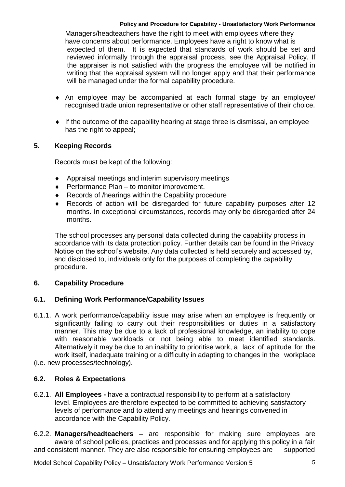Managers/headteachers have the right to meet with employees where they have concerns about performance. Employees have a right to know what is expected of them. It is expected that standards of work should be set and reviewed informally through the appraisal process, see the Appraisal Policy. If the appraiser is not satisfied with the progress the employee will be notified in writing that the appraisal system will no longer apply and that their performance will be managed under the formal capability procedure.

- An employee may be accompanied at each formal stage by an employee/ recognised trade union representative or other staff representative of their choice.
- $\bullet$  If the outcome of the capability hearing at stage three is dismissal, an employee has the right to appeal;

## **5. Keeping Records**

Records must be kept of the following:

- Appraisal meetings and interim supervisory meetings
- Performance Plan to monitor improvement.
- Records of /hearings within the Capability procedure
- Records of action will be disregarded for future capability purposes after 12 months. In exceptional circumstances, records may only be disregarded after 24 months.

The school processes any personal data collected during the capability process in accordance with its data protection policy. Further details can be found in the Privacy Notice on the school's website. Any data collected is held securely and accessed by, and disclosed to, individuals only for the purposes of completing the capability procedure.

#### **6. Capability Procedure**

## **6.1. Defining Work Performance/Capability Issues**

- 6.1.1. A work performance/capability issue may arise when an employee is frequently or significantly failing to carry out their responsibilities or duties in a satisfactory manner. This may be due to a lack of professional knowledge, an inability to cope with reasonable workloads or not being able to meet identified standards. Alternatively it may be due to an inability to prioritise work, a lack of aptitude for the work itself, inadequate training or a difficulty in adapting to changes in the workplace
- (i.e. new processes/technology).

## **6.2. Roles & Expectations**

- 6.2.1. **All Employees -** have a contractual responsibility to perform at a satisfactory level. Employees are therefore expected to be committed to achieving satisfactory levels of performance and to attend any meetings and hearings convened in accordance with the Capability Policy.
- 6.2.2. **Managers/headteachers –** are responsible for making sure employees are aware of school policies, practices and processes and for applying this policy in a fair and consistent manner. They are also responsible for ensuring employees are supported

Model School Capability Policy – Unsatisfactory Work Performance Version 5 5 5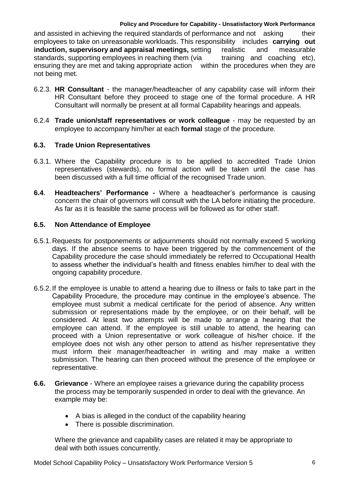and assisted in achieving the required standards of performance and not asking their employees to take on unreasonable workloads. This responsibility includes **carrying out induction, supervisory and appraisal meetings, setting realistic and measurable** standards, supporting employees in reaching them (via training and coaching etc), ensuring they are met and taking appropriate action within the procedures when they are not being met.

- 6.2.3. **HR Consultant** the manager/headteacher of any capability case will inform their HR Consultant before they proceed to stage one of the formal procedure. A HR Consultant will normally be present at all formal Capability hearings and appeals.
- 6.2.4 **Trade union/staff representatives or work colleague** *-* may be requested by an employee to accompany him/her at each **formal** stage of the procedure*.*

## **6.3. Trade Union Representatives**

- 6.3.1. Where the Capability procedure is to be applied to accredited Trade Union representatives (stewards), no formal action will be taken until the case has been discussed with a full time official of the recognised Trade union.
- **6.4**. **Headteachers' Performance -** Where a headteacher's performance is causing concern the chair of governors will consult with the LA before initiating the procedure. As far as it is feasible the same process will be followed as for other staff.

## **6.5. Non Attendance of Employee**

- 6.5.1.Requests for postponements or adjournments should not normally exceed 5 working days. If the absence seems to have been triggered by the commencement of the Capability procedure the case should immediately be referred to Occupational Health to assess whether the individual's health and fitness enables him/her to deal with the ongoing capability procedure.
- 6.5.2. If the employee is unable to attend a hearing due to illness or fails to take part in the Capability Procedure, the procedure may continue in the employee's absence. The employee must submit a medical certificate for the period of absence. Any written submission or representations made by the employee, or on their behalf, will be considered. At least two attempts will be made to arrange a hearing that the employee can attend. If the employee is still unable to attend, the hearing can proceed with a Union representative or work colleague of his/her choice. If the employee does not wish any other person to attend as his/her representative they must inform their manager/headteacher in writing and may make a written submission. The hearing can then proceed without the presence of the employee or representative.
- **6.6. Grievance** Where an employee raises a grievance during the capability process the process may be temporarily suspended in order to deal with the grievance. An example may be:
	- A bias is alleged in the conduct of the capability hearing
	- There is possible discrimination.

Where the grievance and capability cases are related it may be appropriate to deal with both issues concurrently.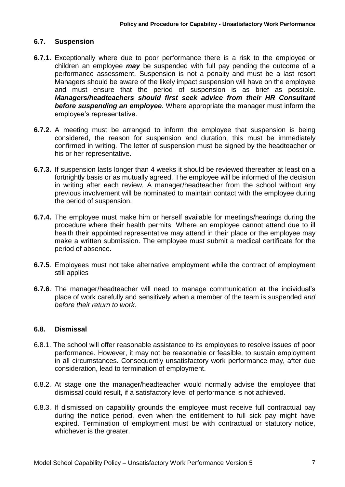### **6.7. Suspension**

- **6.7.1**. Exceptionally where due to poor performance there is a risk to the employee or children an employee *may* be suspended with full pay pending the outcome of a performance assessment. Suspension is not a penalty and must be a last resort Managers should be aware of the likely impact suspension will have on the employee and must ensure that the period of suspension is as brief as possible. *Managers/headteachers should first seek advice from their HR Consultant before suspending an employee.* Where appropriate the manager must inform the employee's representative.
- **6.7.2**. A meeting must be arranged to inform the employee that suspension is being considered, the reason for suspension and duration, this must be immediately confirmed in writing. The letter of suspension must be signed by the headteacher or his or her representative.
- **6.7.3.** If suspension lasts longer than 4 weeks it should be reviewed thereafter at least on a fortnightly basis or as mutually agreed. The employee will be informed of the decision in writing after each review. A manager/headteacher from the school without any previous involvement will be nominated to maintain contact with the employee during the period of suspension.
- **6.7.4.** The employee must make him or herself available for meetings/hearings during the procedure where their health permits. Where an employee cannot attend due to ill health their appointed representative may attend in their place or the employee may make a written submission. The employee must submit a medical certificate for the period of absence.
- **6.7.5**. Employees must not take alternative employment while the contract of employment still applies
- **6.7.6**. The manager/headteacher will need to manage communication at the individual's place of work carefully and sensitively when a member of the team is suspended *and before their return to work.*

#### **6.8. Dismissal**

- 6.8.1. The school will offer reasonable assistance to its employees to resolve issues of poor performance. However, it may not be reasonable or feasible, to sustain employment in all circumstances. Consequently unsatisfactory work performance may, after due consideration, lead to termination of employment.
- 6.8.2. At stage one the manager/headteacher would normally advise the employee that dismissal could result, if a satisfactory level of performance is not achieved.
- 6.8.3. If dismissed on capability grounds the employee must receive full contractual pay during the notice period, even when the entitlement to full sick pay might have expired. Termination of employment must be with contractual or statutory notice, whichever is the greater.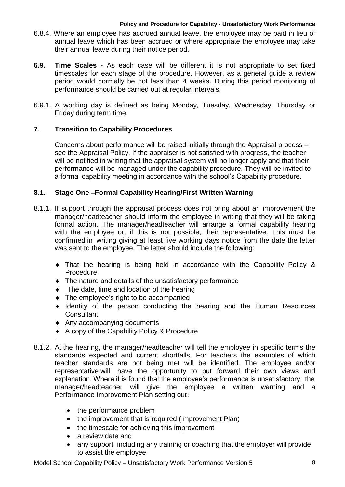- 6.8.4. Where an employee has accrued annual leave, the employee may be paid in lieu of annual leave which has been accrued or where appropriate the employee may take their annual leave during their notice period.
- **6.9. Time Scales -** As each case will be different it is not appropriate to set fixed timescales for each stage of the procedure. However, as a general guide a review period would normally be not less than 4 weeks. During this period monitoring of performance should be carried out at regular intervals.
- 6.9.1. A working day is defined as being Monday, Tuesday, Wednesday, Thursday or Friday during term time.

## **7. Transition to Capability Procedures**

Concerns about performance will be raised initially through the Appraisal process – see the Appraisal Policy. If the appraiser is not satisfied with progress, the teacher will be notified in writing that the appraisal system will no longer apply and that their performance will be managed under the capability procedure. They will be invited to a formal capability meeting in accordance with the school's Capability procedure.

## **8.1. Stage One –Formal Capability Hearing/First Written Warning**

- 8.1.1. If support through the appraisal process does not bring about an improvement the manager/headteacher should inform the employee in writing that they will be taking formal action. The manager/headteacher will arrange a formal capability hearing with the employee or, if this is not possible, their representative. This must be confirmed in writing giving at least five working days notice from the date the letter was sent to the employee. The letter should include the following:
	- That the hearing is being held in accordance with the Capability Policy & **Procedure**
	- The nature and details of the unsatisfactory performance
	- The date, time and location of the hearing
	- The employee's right to be accompanied
	- $\bullet$  Identity of the person conducting the hearing and the Human Resources **Consultant**
	- Any accompanying documents
	- ◆ A copy of the Capability Policy & Procedure
- 8.1.2. At the hearing, the manager/headteacher will tell the employee in specific terms the standards expected and current shortfalls. For teachers the examples of which teacher standards are not being met will be identified. The employee and/or representative will have the opportunity to put forward their own views and explanation. Where it is found that the employee's performance is unsatisfactory the manager/headteacher will give the employee a written warning and a Performance Improvement Plan setting out:
	- the performance problem
	- the improvement that is required (Improvement Plan)
	- the timescale for achieving this improvement
	- a review date and
	- any support, including any training or coaching that the employer will provide to assist the employee.

Model School Capability Policy – Unsatisfactory Work Performance Version 5 8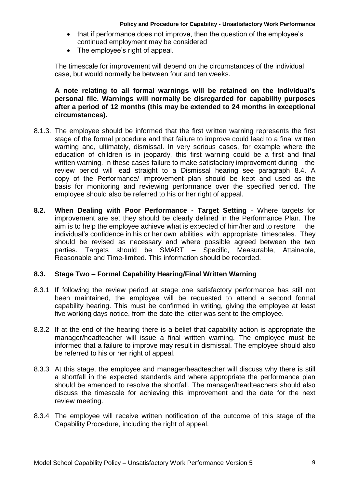- that if performance does not improve, then the question of the employee's continued employment may be considered
- The employee's right of appeal.

The timescale for improvement will depend on the circumstances of the individual case, but would normally be between four and ten weeks.

**A note relating to all formal warnings will be retained on the individual's personal file. Warnings will normally be disregarded for capability purposes after a period of 12 months (this may be extended to 24 months in exceptional circumstances).** 

- 8.1.3. The employee should be informed that the first written warning represents the first stage of the formal procedure and that failure to improve could lead to a final written warning and, ultimately, dismissal. In very serious cases, for example where the education of children is in jeopardy, this first warning could be a first and final written warning. In these cases failure to make satisfactory improvement during the review period will lead straight to a Dismissal hearing see paragraph 8.4. A copy of the Performance/ improvement plan should be kept and used as the basis for monitoring and reviewing performance over the specified period. The employee should also be referred to his or her right of appeal.
- **8.2. When Dealing with Poor Performance - Target Setting** Where targets for improvement are set they should be clearly defined in the Performance Plan. The aim is to help the employee achieve what is expected of him/her and to restore the individual's confidence in his or her own abilities with appropriate timescales. They should be revised as necessary and where possible agreed between the two parties. Targets should be SMART – Specific, Measurable, Attainable, Reasonable and Time-limited. This information should be recorded.

#### **8.3. Stage Two – Formal Capability Hearing/Final Written Warning**

- 8.3.1 If following the review period at stage one satisfactory performance has still not been maintained, the employee will be requested to attend a second formal capability hearing. This must be confirmed in writing, giving the employee at least five working days notice, from the date the letter was sent to the employee.
- 8.3.2 If at the end of the hearing there is a belief that capability action is appropriate the manager/headteacher will issue a final written warning. The employee must be informed that a failure to improve may result in dismissal. The employee should also be referred to his or her right of appeal.
- 8.3.3 At this stage, the employee and manager/headteacher will discuss why there is still a shortfall in the expected standards and where appropriate the performance plan should be amended to resolve the shortfall. The manager/headteachers should also discuss the timescale for achieving this improvement and the date for the next review meeting.
- 8.3.4 The employee will receive written notification of the outcome of this stage of the Capability Procedure, including the right of appeal.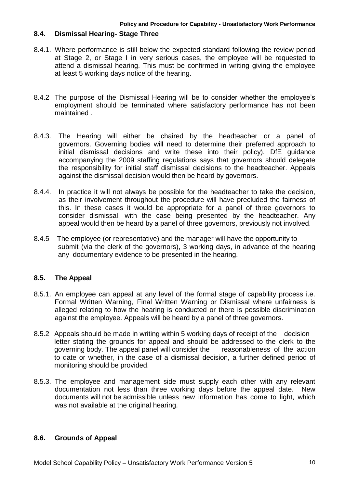#### **8.4. Dismissal Hearing- Stage Three**

- 8.4.1. Where performance is still below the expected standard following the review period at Stage 2, or Stage I in very serious cases, the employee will be requested to attend a dismissal hearing. This must be confirmed in writing giving the employee at least 5 working days notice of the hearing.
- 8.4.2 The purpose of the Dismissal Hearing will be to consider whether the employee's employment should be terminated where satisfactory performance has not been maintained .
- 8.4.3. The Hearing will either be chaired by the headteacher or a panel of governors. Governing bodies will need to determine their preferred approach to initial dismissal decisions and write these into their policy). DfE guidance accompanying the 2009 staffing regulations says that governors should delegate the responsibility for initial staff dismissal decisions to the headteacher. Appeals against the dismissal decision would then be heard by governors.
- 8.4.4. In practice it will not always be possible for the headteacher to take the decision, as their involvement throughout the procedure will have precluded the fairness of this. In these cases it would be appropriate for a panel of three governors to consider dismissal, with the case being presented by the headteacher. Any appeal would then be heard by a panel of three governors, previously not involved.
- 8.4.5 The employee (or representative) and the manager will have the opportunity to submit (via the clerk of the governors), 3 working days, in advance of the hearing any documentary evidence to be presented in the hearing.

#### **8.5. The Appeal**

- 8.5.1. An employee can appeal at any level of the formal stage of capability process i.e. Formal Written Warning, Final Written Warning or Dismissal where unfairness is alleged relating to how the hearing is conducted or there is possible discrimination against the employee. Appeals will be heard by a panel of three governors.
- 8.5.2 Appeals should be made in writing within 5 working days of receipt of the decision letter stating the grounds for appeal and should be addressed to the clerk to the governing body. The appeal panel will consider the reasonableness of the action to date or whether, in the case of a dismissal decision, a further defined period of monitoring should be provided.
- 8.5.3. The employee and management side must supply each other with any relevant documentation not less than three working days before the appeal date. New documents will not be admissible unless new information has come to light, which was not available at the original hearing.

#### **8.6. Grounds of Appeal**